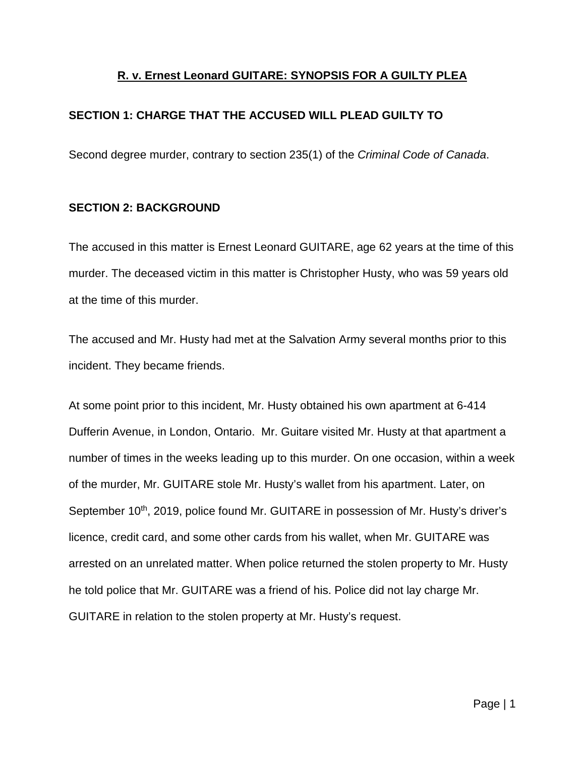# **R. v. Ernest Leonard GUITARE: SYNOPSIS FOR A GUILTY PLEA**

# **SECTION 1: CHARGE THAT THE ACCUSED WILL PLEAD GUILTY TO**

Second degree murder, contrary to section 235(1) of the *Criminal Code of Canada*.

## **SECTION 2: BACKGROUND**

The accused in this matter is Ernest Leonard GUITARE, age 62 years at the time of this murder. The deceased victim in this matter is Christopher Husty, who was 59 years old at the time of this murder.

The accused and Mr. Husty had met at the Salvation Army several months prior to this incident. They became friends.

At some point prior to this incident, Mr. Husty obtained his own apartment at 6-414 Dufferin Avenue, in London, Ontario. Mr. Guitare visited Mr. Husty at that apartment a number of times in the weeks leading up to this murder. On one occasion, within a week of the murder, Mr. GUITARE stole Mr. Husty's wallet from his apartment. Later, on September 10<sup>th</sup>, 2019, police found Mr. GUITARE in possession of Mr. Husty's driver's licence, credit card, and some other cards from his wallet, when Mr. GUITARE was arrested on an unrelated matter. When police returned the stolen property to Mr. Husty he told police that Mr. GUITARE was a friend of his. Police did not lay charge Mr. GUITARE in relation to the stolen property at Mr. Husty's request.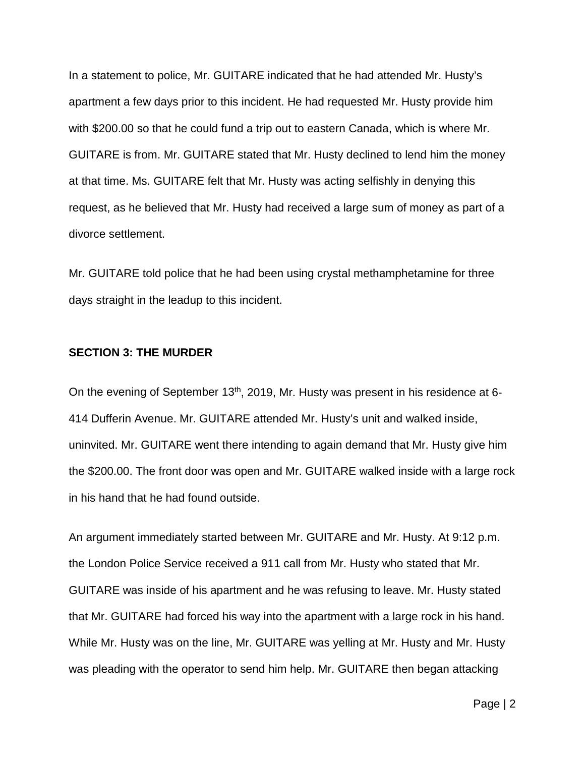In a statement to police, Mr. GUITARE indicated that he had attended Mr. Husty's apartment a few days prior to this incident. He had requested Mr. Husty provide him with \$200.00 so that he could fund a trip out to eastern Canada, which is where Mr. GUITARE is from. Mr. GUITARE stated that Mr. Husty declined to lend him the money at that time. Ms. GUITARE felt that Mr. Husty was acting selfishly in denying this request, as he believed that Mr. Husty had received a large sum of money as part of a divorce settlement.

Mr. GUITARE told police that he had been using crystal methamphetamine for three days straight in the leadup to this incident.

### **SECTION 3: THE MURDER**

On the evening of September 13<sup>th</sup>, 2019, Mr. Husty was present in his residence at 6-414 Dufferin Avenue. Mr. GUITARE attended Mr. Husty's unit and walked inside, uninvited. Mr. GUITARE went there intending to again demand that Mr. Husty give him the \$200.00. The front door was open and Mr. GUITARE walked inside with a large rock in his hand that he had found outside.

An argument immediately started between Mr. GUITARE and Mr. Husty. At 9:12 p.m. the London Police Service received a 911 call from Mr. Husty who stated that Mr. GUITARE was inside of his apartment and he was refusing to leave. Mr. Husty stated that Mr. GUITARE had forced his way into the apartment with a large rock in his hand. While Mr. Husty was on the line, Mr. GUITARE was yelling at Mr. Husty and Mr. Husty was pleading with the operator to send him help. Mr. GUITARE then began attacking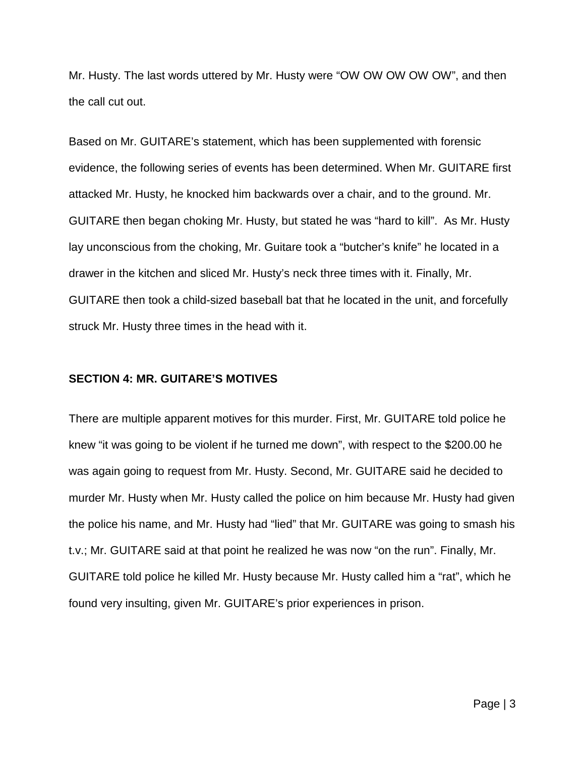Mr. Husty. The last words uttered by Mr. Husty were "OW OW OW OW OW", and then the call cut out.

Based on Mr. GUITARE's statement, which has been supplemented with forensic evidence, the following series of events has been determined. When Mr. GUITARE first attacked Mr. Husty, he knocked him backwards over a chair, and to the ground. Mr. GUITARE then began choking Mr. Husty, but stated he was "hard to kill". As Mr. Husty lay unconscious from the choking, Mr. Guitare took a "butcher's knife" he located in a drawer in the kitchen and sliced Mr. Husty's neck three times with it. Finally, Mr. GUITARE then took a child-sized baseball bat that he located in the unit, and forcefully struck Mr. Husty three times in the head with it.

### **SECTION 4: MR. GUITARE'S MOTIVES**

There are multiple apparent motives for this murder. First, Mr. GUITARE told police he knew "it was going to be violent if he turned me down", with respect to the \$200.00 he was again going to request from Mr. Husty. Second, Mr. GUITARE said he decided to murder Mr. Husty when Mr. Husty called the police on him because Mr. Husty had given the police his name, and Mr. Husty had "lied" that Mr. GUITARE was going to smash his t.v.; Mr. GUITARE said at that point he realized he was now "on the run". Finally, Mr. GUITARE told police he killed Mr. Husty because Mr. Husty called him a "rat", which he found very insulting, given Mr. GUITARE's prior experiences in prison.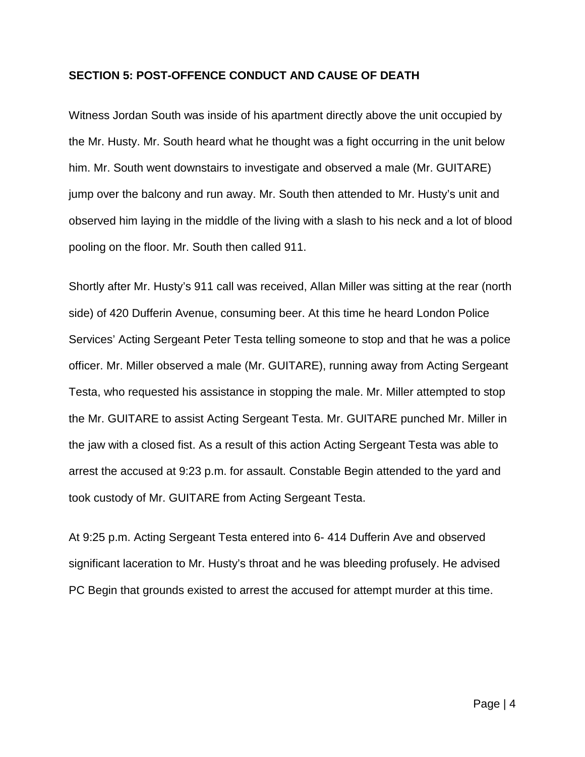### **SECTION 5: POST-OFFENCE CONDUCT AND CAUSE OF DEATH**

Witness Jordan South was inside of his apartment directly above the unit occupied by the Mr. Husty. Mr. South heard what he thought was a fight occurring in the unit below him. Mr. South went downstairs to investigate and observed a male (Mr. GUITARE) jump over the balcony and run away. Mr. South then attended to Mr. Husty's unit and observed him laying in the middle of the living with a slash to his neck and a lot of blood pooling on the floor. Mr. South then called 911.

Shortly after Mr. Husty's 911 call was received, Allan Miller was sitting at the rear (north side) of 420 Dufferin Avenue, consuming beer. At this time he heard London Police Services' Acting Sergeant Peter Testa telling someone to stop and that he was a police officer. Mr. Miller observed a male (Mr. GUITARE), running away from Acting Sergeant Testa, who requested his assistance in stopping the male. Mr. Miller attempted to stop the Mr. GUITARE to assist Acting Sergeant Testa. Mr. GUITARE punched Mr. Miller in the jaw with a closed fist. As a result of this action Acting Sergeant Testa was able to arrest the accused at 9:23 p.m. for assault. Constable Begin attended to the yard and took custody of Mr. GUITARE from Acting Sergeant Testa.

At 9:25 p.m. Acting Sergeant Testa entered into 6- 414 Dufferin Ave and observed significant laceration to Mr. Husty's throat and he was bleeding profusely. He advised PC Begin that grounds existed to arrest the accused for attempt murder at this time.